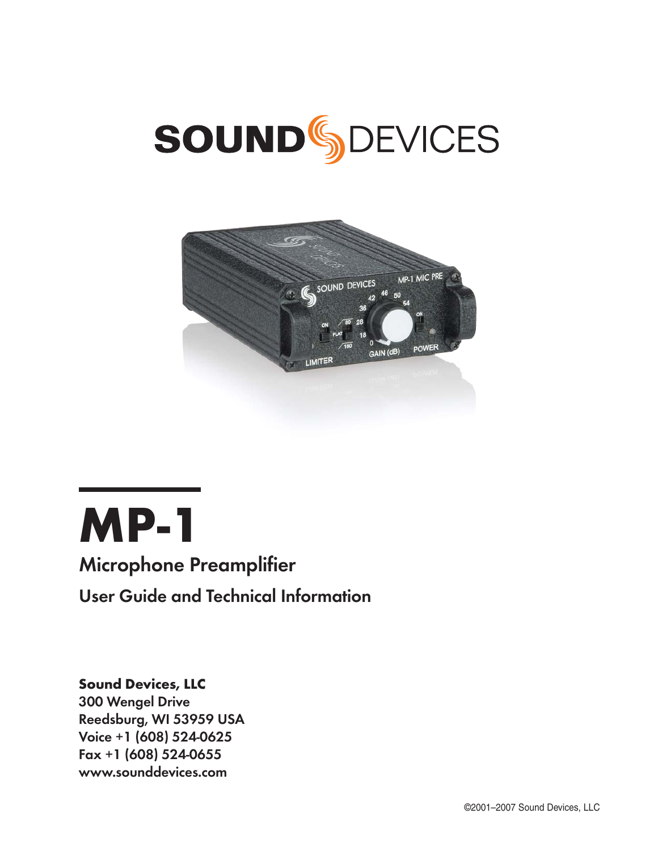# **SOUND**<sup>S</sup>SDEVICES





# **Microphone Preamplifier**

User Guide and Technical Information

## Sound Devices, LLC

300 Wengel Drive Reedsburg, WI 53959 USA Voice +1 (608) 524-0625 Fax +1 (608) 524-0655 www.sounddevices.com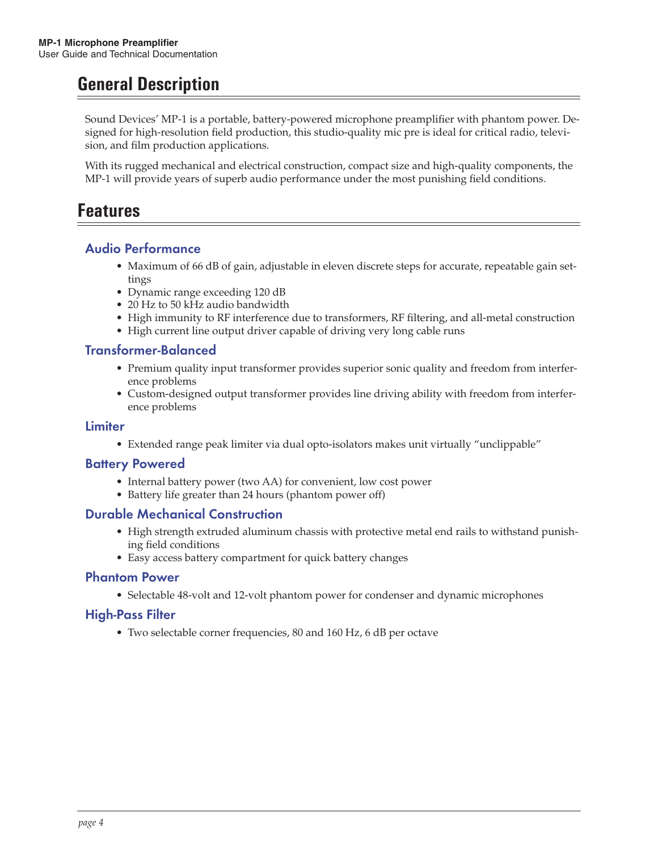# **General Description**

Sound Devices' MP-1 is a portable, battery-powered microphone preamplifier with phantom power. Designed for high-resolution field production, this studio-quality mic pre is ideal for critical radio, television, and film production applications.

With its rugged mechanical and electrical construction, compact size and high-quality components, the MP-1 will provide years of superb audio performance under the most punishing field conditions.

## **Features**

## Audio Performance

- Maximum of 66 dB of gain, adjustable in eleven discrete steps for accurate, repeatable gain settings
- Dynamic range exceeding 120 dB
- 20 Hz to 50 kHz audio bandwidth
- High immunity to RF interference due to transformers, RF filtering, and all-metal construction
- High current line output driver capable of driving very long cable runs

## Transformer-Balanced

- Premium quality input transformer provides superior sonic quality and freedom from interference problems
- Custom-designed output transformer provides line driving ability with freedom from interference problems

#### Limiter

• Extended range peak limiter via dual opto-isolators makes unit virtually "unclippable"

#### Battery Powered

- Internal battery power (two AA) for convenient, low cost power
- Battery life greater than 24 hours (phantom power off)

#### Durable Mechanical Construction

- High strength extruded aluminum chassis with protective metal end rails to withstand punishing field conditions
- Easy access battery compartment for quick battery changes

#### Phantom Power

• Selectable 48-volt and 12-volt phantom power for condenser and dynamic microphones

#### High-Pass Filter

• Two selectable corner frequencies, 80 and 160 Hz, 6 dB per octave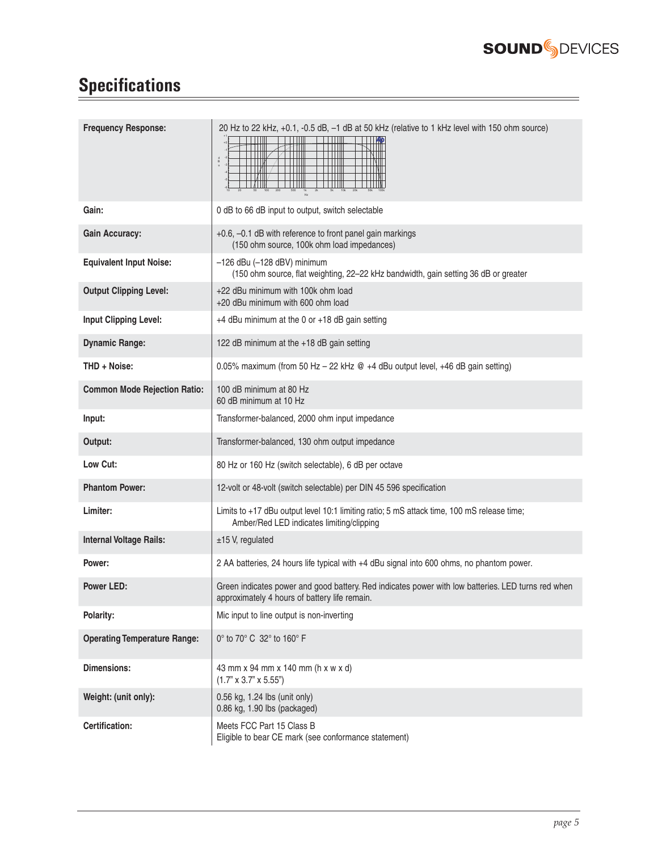

÷

# **Specifications**

| <b>Frequency Response:</b>          | 20 Hz to 22 kHz, +0.1, -0.5 dB, -1 dB at 50 kHz (relative to 1 kHz level with 150 ohm source)                                                       |
|-------------------------------------|-----------------------------------------------------------------------------------------------------------------------------------------------------|
| Gain:                               | 0 dB to 66 dB input to output, switch selectable                                                                                                    |
| <b>Gain Accuracy:</b>               | +0.6, -0.1 dB with reference to front panel gain markings<br>(150 ohm source, 100k ohm load impedances)                                             |
| <b>Equivalent Input Noise:</b>      | $-126$ dBu $(-128$ dBV) minimum<br>(150 ohm source, flat weighting, 22-22 kHz bandwidth, gain setting 36 dB or greater                              |
| <b>Output Clipping Level:</b>       | +22 dBu minimum with 100k ohm load<br>+20 dBu minimum with 600 ohm load                                                                             |
| <b>Input Clipping Level:</b>        | +4 dBu minimum at the 0 or +18 dB gain setting                                                                                                      |
| <b>Dynamic Range:</b>               | 122 dB minimum at the +18 dB gain setting                                                                                                           |
| THD + Noise:                        | 0.05% maximum (from 50 Hz - 22 kHz @ +4 dBu output level, +46 dB gain setting)                                                                      |
| <b>Common Mode Rejection Ratio:</b> | 100 dB minimum at 80 Hz<br>60 dB minimum at 10 Hz                                                                                                   |
| Input:                              | Transformer-balanced, 2000 ohm input impedance                                                                                                      |
| Output:                             | Transformer-balanced, 130 ohm output impedance                                                                                                      |
| Low Cut:                            | 80 Hz or 160 Hz (switch selectable), 6 dB per octave                                                                                                |
| <b>Phantom Power:</b>               | 12-volt or 48-volt (switch selectable) per DIN 45 596 specification                                                                                 |
| Limiter:                            | Limits to +17 dBu output level 10:1 limiting ratio; 5 mS attack time, 100 mS release time;<br>Amber/Red LED indicates limiting/clipping             |
| <b>Internal Voltage Rails:</b>      | $±15$ V, regulated                                                                                                                                  |
| Power:                              | 2 AA batteries, 24 hours life typical with +4 dBu signal into 600 ohms, no phantom power.                                                           |
| <b>Power LED:</b>                   | Green indicates power and good battery. Red indicates power with low batteries. LED turns red when<br>approximately 4 hours of battery life remain. |
| Polarity:                           | Mic input to line output is non-inverting                                                                                                           |
| <b>Operating Temperature Range:</b> | 0° to 70° C 32° to 160° F                                                                                                                           |
| <b>Dimensions:</b>                  | 43 mm x 94 mm x 140 mm (h x w x d)<br>$(1.7" \times 3.7" \times 5.55")$                                                                             |
| Weight: (unit only):                | 0.56 kg, 1.24 lbs (unit only)<br>0.86 kg, 1.90 lbs (packaged)                                                                                       |
| Certification:                      | Meets FCC Part 15 Class B<br>Eligible to bear CE mark (see conformance statement)                                                                   |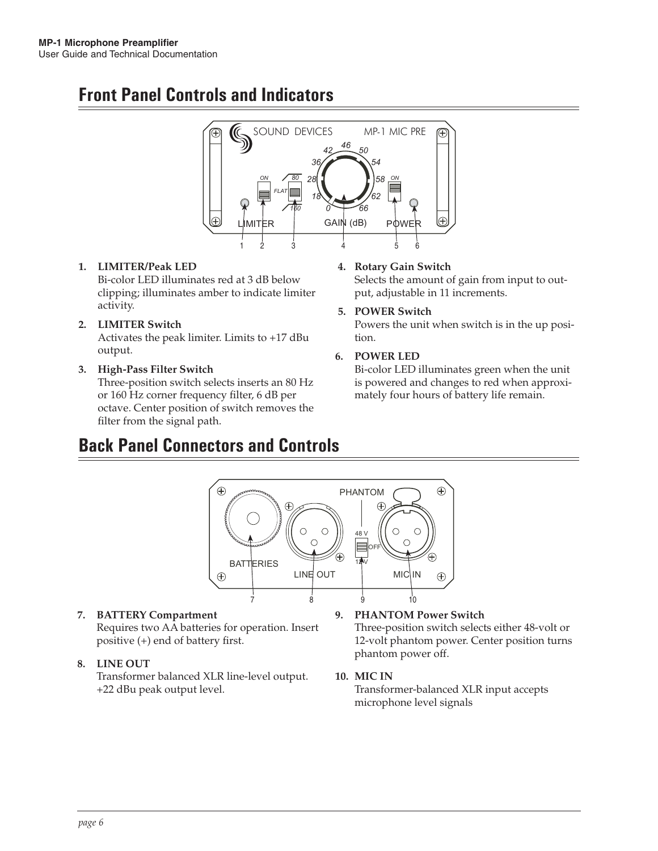# **Front Panel Controls and Indicators**



#### **1. LIMITER/Peak LED** Bi-color LED illuminates red at 3 dB below clipping; illuminates amber to indicate limiter activity.

## **2. LIMITER Switch**

Activates the peak limiter. Limits to +17 dBu output.

#### **3. High-Pass Filter Switch**  Three-position switch selects inserts an 80 Hz or 160 Hz corner frequency filter, 6 dB per octave. Center position of switch removes the filter from the signal path.

# **Back Panel Connectors and Controls**

#### **4. Rotary Gain Switch**

Selects the amount of gain from input to output, adjustable in 11 increments.

#### **5. POWER Switch**

Powers the unit when switch is in the up position.

#### **6. POWER LED**

Bi-color LED illuminates green when the unit is powered and changes to red when approximately four hours of battery life remain.



#### **7. BATTERY Compartment** Requires two AA batteries for operation. Insert positive (+) end of battery first.

#### **8. LINE OUT**

Transformer balanced XLR line-level output. +22 dBu peak output level.

#### **9. PHANTOM Power Switch**

Three-position switch selects either 48-volt or 12-volt phantom power. Center position turns phantom power off.

#### **10. MIC IN**

Transformer-balanced XLR input accepts microphone level signals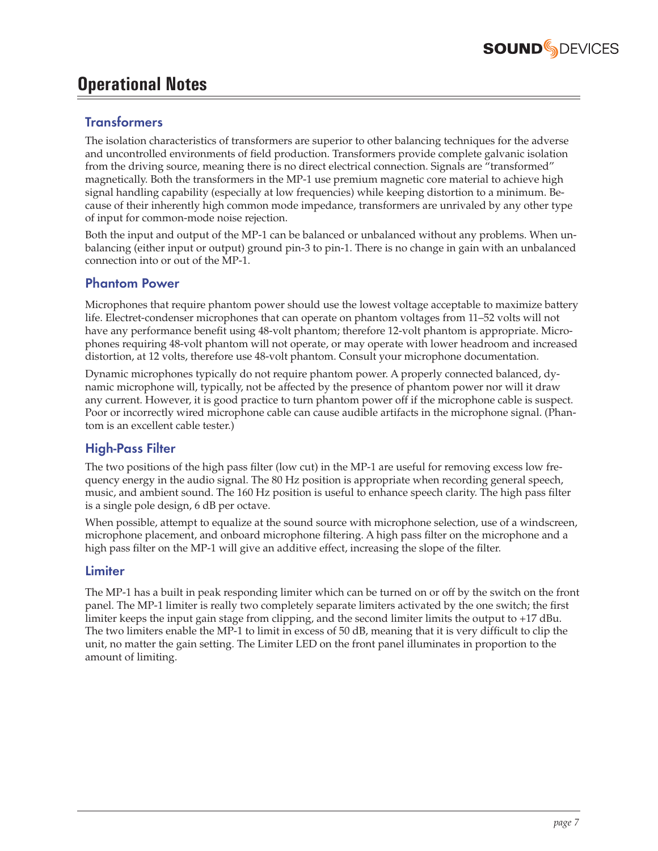

## **Operational Notes**

## **Transformers**

The isolation characteristics of transformers are superior to other balancing techniques for the adverse and uncontrolled environments of field production. Transformers provide complete galvanic isolation from the driving source, meaning there is no direct electrical connection. Signals are "transformed" magnetically. Both the transformers in the MP-1 use premium magnetic core material to achieve high signal handling capability (especially at low frequencies) while keeping distortion to a minimum. Because of their inherently high common mode impedance, transformers are unrivaled by any other type of input for common-mode noise rejection.

Both the input and output of the MP-1 can be balanced or unbalanced without any problems. When unbalancing (either input or output) ground pin-3 to pin-1. There is no change in gain with an unbalanced connection into or out of the MP-1.

#### Phantom Power

Microphones that require phantom power should use the lowest voltage acceptable to maximize battery life. Electret-condenser microphones that can operate on phantom voltages from 11–52 volts will not have any performance benefit using 48-volt phantom; therefore 12-volt phantom is appropriate. Microphones requiring 48-volt phantom will not operate, or may operate with lower headroom and increased distortion, at 12 volts, therefore use 48-volt phantom. Consult your microphone documentation.

Dynamic microphones typically do not require phantom power. A properly connected balanced, dynamic microphone will, typically, not be affected by the presence of phantom power nor will it draw any current. However, it is good practice to turn phantom power off if the microphone cable is suspect. Poor or incorrectly wired microphone cable can cause audible artifacts in the microphone signal. (Phantom is an excellent cable tester.)

## High-Pass Filter

The two positions of the high pass filter (low cut) in the MP-1 are useful for removing excess low frequency energy in the audio signal. The 80 Hz position is appropriate when recording general speech, music, and ambient sound. The 160 Hz position is useful to enhance speech clarity. The high pass filter is a single pole design, 6 dB per octave.

When possible, attempt to equalize at the sound source with microphone selection, use of a windscreen, microphone placement, and onboard microphone filtering. A high pass filter on the microphone and a high pass filter on the MP-1 will give an additive effect, increasing the slope of the filter.

#### Limiter

The MP-1 has a built in peak responding limiter which can be turned on or off by the switch on the front panel. The MP-1 limiter is really two completely separate limiters activated by the one switch; the first limiter keeps the input gain stage from clipping, and the second limiter limits the output to +17 dBu. The two limiters enable the MP-1 to limit in excess of 50 dB, meaning that it is very difficult to clip the unit, no matter the gain setting. The Limiter LED on the front panel illuminates in proportion to the amount of limiting.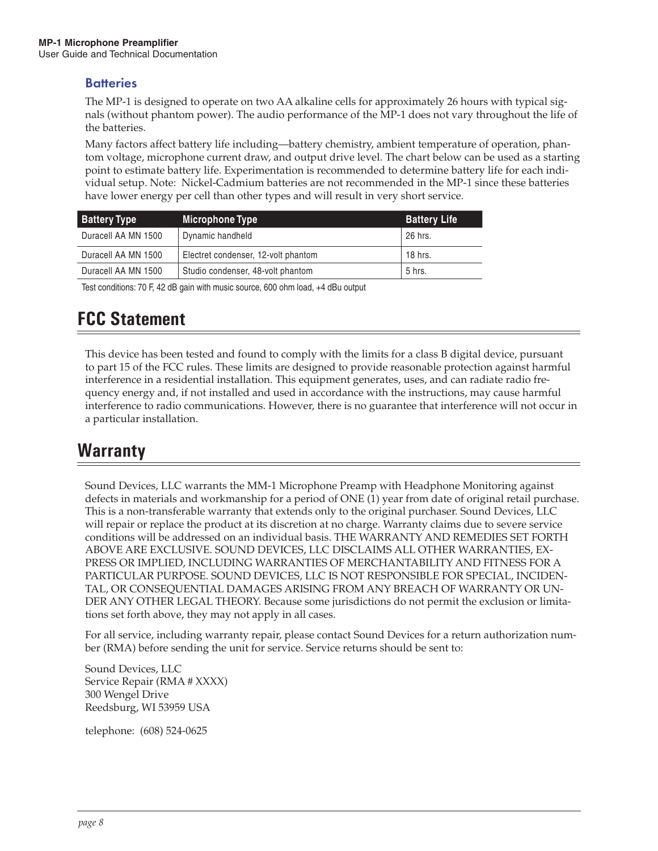## **Batteries**

The MP-1 is designed to operate on two AA alkaline cells for approximately 26 hours with typical signals (without phantom power). The audio performance of the MP-1 does not vary throughout the life of the batteries.

Many factors affect battery life including—battery chemistry, ambient temperature of operation, phantom voltage, microphone current draw, and output drive level. The chart below can be used as a starting point to estimate battery life. Experimentation is recommended to determine battery life for each individual setup. Note: Nickel-Cadmium batteries are not recommended in the MP-1 since these batteries have lower energy per cell than other types and will result in very short service.

| <b>Battery Type</b> | Microphone Type                     | <b>Battery Life</b> |
|---------------------|-------------------------------------|---------------------|
| Duracell AA MN 1500 | Dynamic handheld                    | 26 hrs.             |
| Duracell AA MN 1500 | Electret condenser, 12-volt phantom | 18 hrs.             |
| Duracell AA MN 1500 | Studio condenser, 48-volt phantom   | 5 hrs.              |

Test conditions: 70 F, 42 dB gain with music source, 600 ohm load, +4 dBu output

# **FCC Statement**

This device has been tested and found to comply with the limits for a class B digital device, pursuant to part 15 of the FCC rules. These limits are designed to provide reasonable protection against harmful interference in a residential installation. This equipment generates, uses, and can radiate radio frequency energy and, if not installed and used in accordance with the instructions, may cause harmful interference to radio communications. However, there is no guarantee that interference will not occur in a particular installation.

## **Warranty**

Sound Devices, LLC warrants the MM-1 Microphone Preamp with Headphone Monitoring against defects in materials and workmanship for a period of ONE (1) year from date of original retail purchase. This is a non-transferable warranty that extends only to the original purchaser. Sound Devices, LLC will repair or replace the product at its discretion at no charge. Warranty claims due to severe service conditions will be addressed on an individual basis. THE WARRANTY AND REMEDIES SET FORTH ABOVE ARE EXCLUSIVE. SOUND DEVICES, LLC DISCLAIMS ALL OTHER WARRANTIES, EX-PRESS OR IMPLIED, INCLUDING WARRANTIES OF MERCHANTABILITY AND FITNESS FOR A PARTICULAR PURPOSE. SOUND DEVICES, LLC IS NOT RESPONSIBLE FOR SPECIAL, INCIDEN-TAL, OR CONSEQUENTIAL DAMAGES ARISING FROM ANY BREACH OF WARRANTY OR UN-DER ANY OTHER LEGAL THEORY. Because some jurisdictions do not permit the exclusion or limitations set forth above, they may not apply in all cases.

For all service, including warranty repair, please contact Sound Devices for a return authorization number (RMA) before sending the unit for service. Service returns should be sent to:

Sound Devices, LLC Service Repair (RMA # XXXX) 300 Wengel Drive Reedsburg, WI 53959 USA

telephone: (608) 524-0625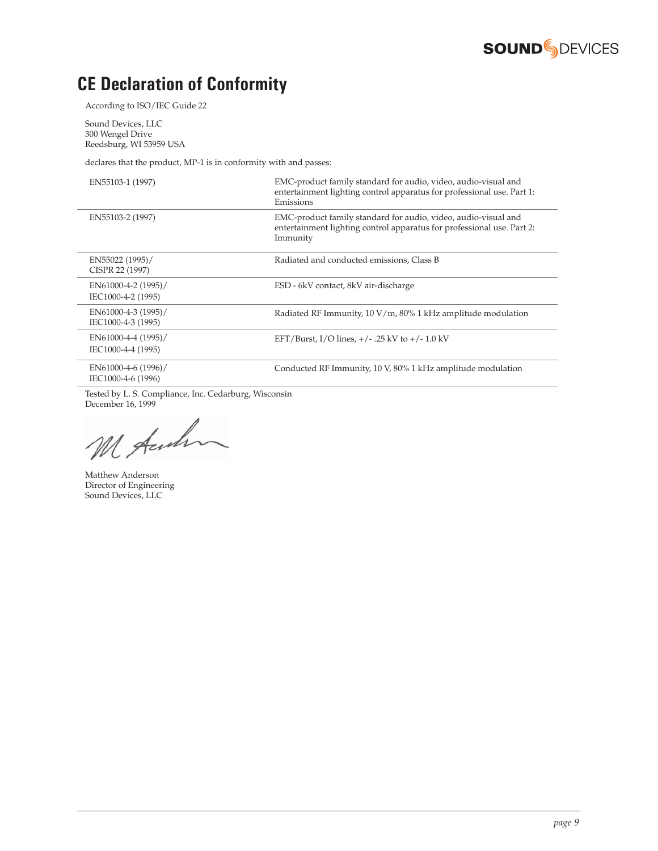

# **CE Declaration of Conformity**

According to ISO/IEC Guide 22

Sound Devices, LLC 300 Wengel Drive Reedsburg, WI 53959 USA

declares that the product, MP-1 is in conformity with and passes:

| EN55103-1 (1997)                          | EMC-product family standard for audio, video, audio-visual and<br>entertainment lighting control apparatus for professional use. Part 1:<br>Emissions |
|-------------------------------------------|-------------------------------------------------------------------------------------------------------------------------------------------------------|
| EN55103-2 (1997)                          | EMC-product family standard for audio, video, audio-visual and<br>entertainment lighting control apparatus for professional use. Part 2:<br>Immunity  |
| EN55022 (1995)/<br>CISPR 22 (1997)        | Radiated and conducted emissions, Class B                                                                                                             |
| EN61000-4-2 (1995)/<br>IEC1000-4-2 (1995) | ESD - 6kV contact, 8kV air-discharge                                                                                                                  |
| EN61000-4-3 (1995)/<br>IEC1000-4-3 (1995) | Radiated RF Immunity, $10 \text{ V/m}$ , $80\%$ 1 kHz amplitude modulation                                                                            |
| EN61000-4-4 (1995)/<br>IEC1000-4-4 (1995) | EFT/Burst, I/O lines, $+/-$ .25 kV to $+/-1.0$ kV                                                                                                     |
| EN61000-4-6 (1996)/<br>IEC1000-4-6 (1996) | Conducted RF Immunity, 10 V, 80% 1 kHz amplitude modulation                                                                                           |

Tested by L. S. Compliance, Inc. Cedarburg, Wisconsin

December 16, 1999

Matthew Anderson Director of Engineering Sound Devices, LLC